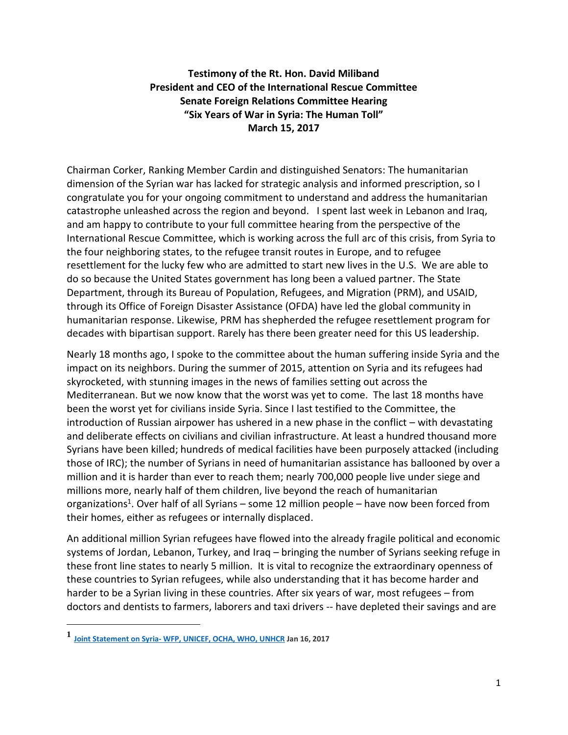## **Testimony of the Rt. Hon. David Miliband President and CEO of the International Rescue Committee Senate Foreign Relations Committee Hearing "Six Years of War in Syria: The Human Toll" March 15, 2017**

Chairman Corker, Ranking Member Cardin and distinguished Senators: The humanitarian dimension of the Syrian war has lacked for strategic analysis and informed prescription, so I congratulate you for your ongoing commitment to understand and address the humanitarian catastrophe unleashed across the region and beyond. I spent last week in Lebanon and Iraq, and am happy to contribute to your full committee hearing from the perspective of the International Rescue Committee, which is working across the full arc of this crisis, from Syria to the four neighboring states, to the refugee transit routes in Europe, and to refugee resettlement for the lucky few who are admitted to start new lives in the U.S. We are able to do so because the United States government has long been a valued partner. The State Department, through its Bureau of Population, Refugees, and Migration (PRM), and USAID, through its Office of Foreign Disaster Assistance (OFDA) have led the global community in humanitarian response. Likewise, PRM has shepherded the refugee resettlement program for decades with bipartisan support. Rarely has there been greater need for this US leadership.

Nearly 18 months ago, I spoke to the committee about the human suffering inside Syria and the impact on its neighbors. During the summer of 2015, attention on Syria and its refugees had skyrocketed, with stunning images in the news of families setting out across the Mediterranean. But we now know that the worst was yet to come. The last 18 months have been the worst yet for civilians inside Syria. Since I last testified to the Committee, the introduction of Russian airpower has ushered in a new phase in the conflict – with devastating and deliberate effects on civilians and civilian infrastructure. At least a hundred thousand more Syrians have been killed; hundreds of medical facilities have been purposely attacked (including those of IRC); the number of Syrians in need of humanitarian assistance has ballooned by over a million and it is harder than ever to reach them; nearly 700,000 people live under siege and millions more, nearly half of them children, live beyond the reach of humanitarian organizations<sup>1</sup>. Over half of all Syrians – some 12 million people – have now been forced from their homes, either as refugees or internally displaced.

An additional million Syrian refugees have flowed into the already fragile political and economic systems of Jordan, Lebanon, Turkey, and Iraq – bringing the number of Syrians seeking refuge in these front line states to nearly 5 million. It is vital to recognize the extraordinary openness of these countries to Syrian refugees, while also understanding that it has become harder and harder to be a Syrian living in these countries. After six years of war, most refugees – from doctors and dentists to farmers, laborers and taxi drivers -- have depleted their savings and are

 $\overline{\phantom{a}}$ 

**<sup>1</sup> Joint Statement on Syria- [WFP, UNICEF, OCHA, WHO, UNHCR](https://www.unicef.org/media/media_94404.html) Jan 16, 2017**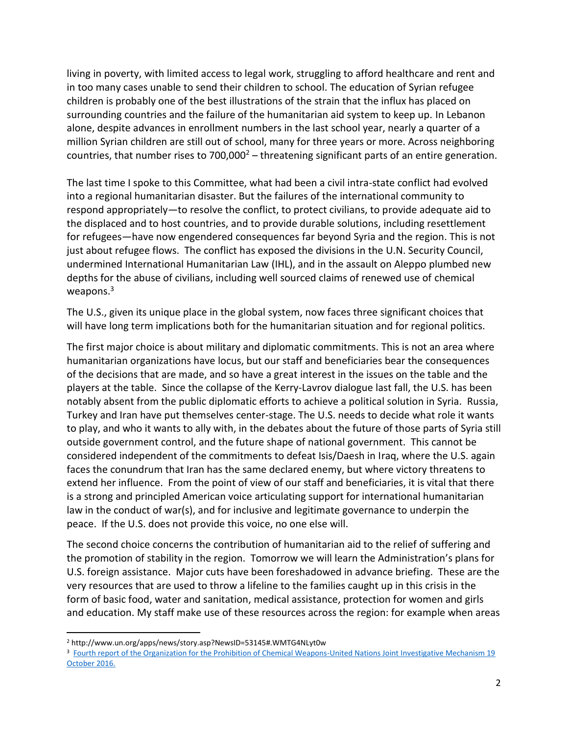living in poverty, with limited access to legal work, struggling to afford healthcare and rent and in too many cases unable to send their children to school. The education of Syrian refugee children is probably one of the best illustrations of the strain that the influx has placed on surrounding countries and the failure of the humanitarian aid system to keep up. In Lebanon alone, despite advances in enrollment numbers in the last school year, nearly a quarter of a million Syrian children are still out of school, many for three years or more. Across neighboring countries, that number rises to  $700,000^2$  – threatening significant parts of an entire generation.

The last time I spoke to this Committee, what had been a civil intra-state conflict had evolved into a regional humanitarian disaster. But the failures of the international community to respond appropriately—to resolve the conflict, to protect civilians, to provide adequate aid to the displaced and to host countries, and to provide durable solutions, including resettlement for refugees—have now engendered consequences far beyond Syria and the region. This is not just about refugee flows. The conflict has exposed the divisions in the U.N. Security Council, undermined International Humanitarian Law (IHL), and in the assault on Aleppo plumbed new depths for the abuse of civilians, including well sourced claims of renewed use of chemical weapons.<sup>3</sup>

The U.S., given its unique place in the global system, now faces three significant choices that will have long term implications both for the humanitarian situation and for regional politics.

The first major choice is about military and diplomatic commitments. This is not an area where humanitarian organizations have locus, but our staff and beneficiaries bear the consequences of the decisions that are made, and so have a great interest in the issues on the table and the players at the table. Since the collapse of the Kerry-Lavrov dialogue last fall, the U.S. has been notably absent from the public diplomatic efforts to achieve a political solution in Syria. Russia, Turkey and Iran have put themselves center-stage. The U.S. needs to decide what role it wants to play, and who it wants to ally with, in the debates about the future of those parts of Syria still outside government control, and the future shape of national government. This cannot be considered independent of the commitments to defeat Isis/Daesh in Iraq, where the U.S. again faces the conundrum that Iran has the same declared enemy, but where victory threatens to extend her influence. From the point of view of our staff and beneficiaries, it is vital that there is a strong and principled American voice articulating support for international humanitarian law in the conduct of war(s), and for inclusive and legitimate governance to underpin the peace. If the U.S. does not provide this voice, no one else will.

The second choice concerns the contribution of humanitarian aid to the relief of suffering and the promotion of stability in the region. Tomorrow we will learn the Administration's plans for U.S. foreign assistance. Major cuts have been foreshadowed in advance briefing. These are the very resources that are used to throw a lifeline to the families caught up in this crisis in the form of basic food, water and sanitation, medical assistance, protection for women and girls and education. My staff make use of these resources across the region: for example when areas

l <sup>2</sup> http://www.un.org/apps/news/story.asp?NewsID=53145#.WMTG4NLyt0w

<sup>&</sup>lt;sup>3</sup> Fourth report of the Organization for the Prohibition of Chemical Weapons-United Nations Joint Investigative Mechanism 19 [October 2016.](http://reliefweb.int/sites/reliefweb.int/files/resources/N1634106%20%281%29.pdf)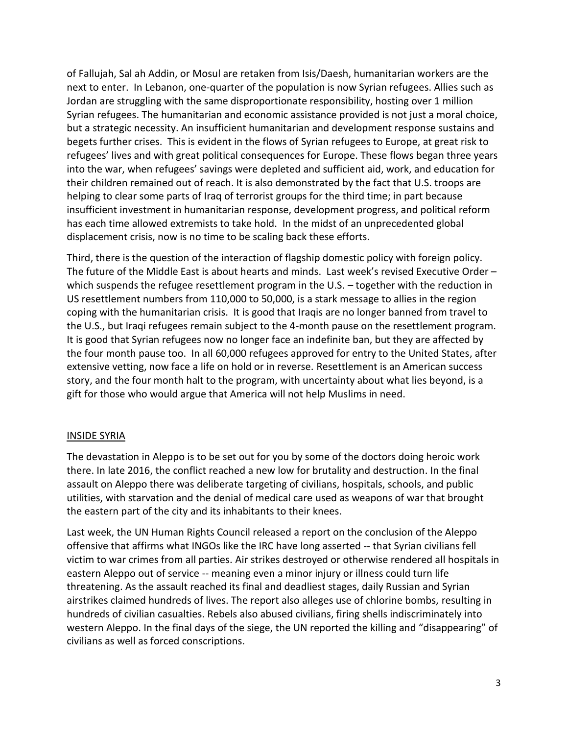of Fallujah, Sal ah Addin, or Mosul are retaken from Isis/Daesh, humanitarian workers are the next to enter. In Lebanon, one-quarter of the population is now Syrian refugees. Allies such as Jordan are struggling with the same disproportionate responsibility, hosting over 1 million Syrian refugees. The humanitarian and economic assistance provided is not just a moral choice, but a strategic necessity. An insufficient humanitarian and development response sustains and begets further crises. This is evident in the flows of Syrian refugees to Europe, at great risk to refugees' lives and with great political consequences for Europe. These flows began three years into the war, when refugees' savings were depleted and sufficient aid, work, and education for their children remained out of reach. It is also demonstrated by the fact that U.S. troops are helping to clear some parts of Iraq of terrorist groups for the third time; in part because insufficient investment in humanitarian response, development progress, and political reform has each time allowed extremists to take hold. In the midst of an unprecedented global displacement crisis, now is no time to be scaling back these efforts.

Third, there is the question of the interaction of flagship domestic policy with foreign policy. The future of the Middle East is about hearts and minds. Last week's revised Executive Order – which suspends the refugee resettlement program in the U.S. - together with the reduction in US resettlement numbers from 110,000 to 50,000, is a stark message to allies in the region coping with the humanitarian crisis. It is good that Iraqis are no longer banned from travel to the U.S., but Iraqi refugees remain subject to the 4-month pause on the resettlement program. It is good that Syrian refugees now no longer face an indefinite ban, but they are affected by the four month pause too. In all 60,000 refugees approved for entry to the United States, after extensive vetting, now face a life on hold or in reverse. Resettlement is an American success story, and the four month halt to the program, with uncertainty about what lies beyond, is a gift for those who would argue that America will not help Muslims in need.

## INSIDE SYRIA

The devastation in Aleppo is to be set out for you by some of the doctors doing heroic work there. In late 2016, the conflict reached a new low for brutality and destruction. In the final assault on Aleppo there was deliberate targeting of civilians, hospitals, schools, and public utilities, with starvation and the denial of medical care used as weapons of war that brought the eastern part of the city and its inhabitants to their knees.

Last week, the UN Human Rights Council released a report on the conclusion of the Aleppo offensive that affirms what INGOs like the IRC have long asserted -- that Syrian civilians fell victim to war crimes from all parties. Air strikes destroyed or otherwise rendered all hospitals in eastern Aleppo out of service -- meaning even a minor injury or illness could turn life threatening. As the assault reached its final and deadliest stages, daily Russian and Syrian airstrikes claimed hundreds of lives. The report also alleges use of chlorine bombs, resulting in hundreds of civilian casualties. Rebels also abused civilians, firing shells indiscriminately into western Aleppo. In the final days of the siege, the UN reported the killing and "disappearing" of civilians as well as forced conscriptions.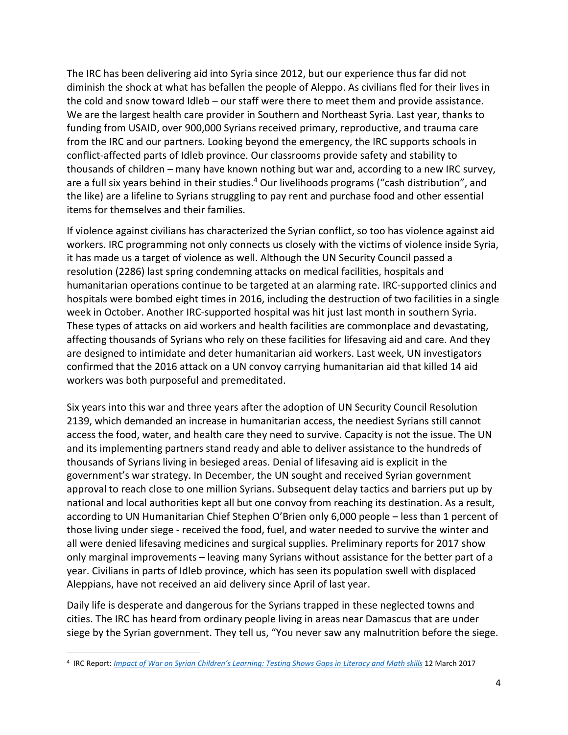The IRC has been delivering aid into Syria since 2012, but our experience thus far did not diminish the shock at what has befallen the people of Aleppo. As civilians fled for their lives in the cold and snow toward Idleb – our staff were there to meet them and provide assistance. We are the largest health care provider in Southern and Northeast Syria. Last year, thanks to funding from USAID, over 900,000 Syrians received primary, reproductive, and trauma care from the IRC and our partners. Looking beyond the emergency, the IRC supports schools in conflict-affected parts of Idleb province. Our classrooms provide safety and stability to thousands of children – many have known nothing but war and, according to a new IRC survey, are a full six years behind in their studies.<sup>4</sup> Our livelihoods programs ("cash distribution", and the like) are a lifeline to Syrians struggling to pay rent and purchase food and other essential items for themselves and their families.

If violence against civilians has characterized the Syrian conflict, so too has violence against aid workers. IRC programming not only connects us closely with the victims of violence inside Syria, it has made us a target of violence as well. Although the UN Security Council passed a resolution (2286) last spring condemning attacks on medical facilities, hospitals and humanitarian operations continue to be targeted at an alarming rate. IRC-supported clinics and hospitals were bombed eight times in 2016, including the destruction of two facilities in a single week in October. Another IRC-supported hospital was hit just last month in southern Syria. These types of attacks on aid workers and health facilities are commonplace and devastating, affecting thousands of Syrians who rely on these facilities for lifesaving aid and care. And they are designed to intimidate and deter humanitarian aid workers. Last week, UN investigators confirmed that the 2016 attack on a UN convoy carrying humanitarian aid that killed 14 aid workers was both purposeful and premeditated.

Six years into this war and three years after the adoption of UN Security Council Resolution 2139, which demanded an increase in humanitarian access, the neediest Syrians still cannot access the food, water, and health care they need to survive. Capacity is not the issue. The UN and its implementing partners stand ready and able to deliver assistance to the hundreds of thousands of Syrians living in besieged areas. Denial of lifesaving aid is explicit in the government's war strategy. In December, the UN sought and received Syrian government approval to reach close to one million Syrians. Subsequent delay tactics and barriers put up by national and local authorities kept all but one convoy from reaching its destination. As a result, according to UN Humanitarian Chief Stephen O'Brien only 6,000 people – less than 1 percent of those living under siege - received the food, fuel, and water needed to survive the winter and all were denied lifesaving medicines and surgical supplies. Preliminary reports for 2017 show only marginal improvements – leaving many Syrians without assistance for the better part of a year. Civilians in parts of Idleb province, which has seen its population swell with displaced Aleppians, have not received an aid delivery since April of last year.

Daily life is desperate and dangerous for the Syrians trapped in these neglected towns and cities. The IRC has heard from ordinary people living in areas near Damascus that are under siege by the Syrian government. They tell us, "You never saw any malnutrition before the siege.

 $\overline{a}$ 

<sup>4</sup> IRC Report: *[Impact of War on Syrian Children's Learning: Testing Shows Gaps in](https://www.rescue.org/report/impact-war-syrian-childrens-learning-testing-shows-gaps-literacy-and-math-skills) Literacy and Math skills* 12 March 2017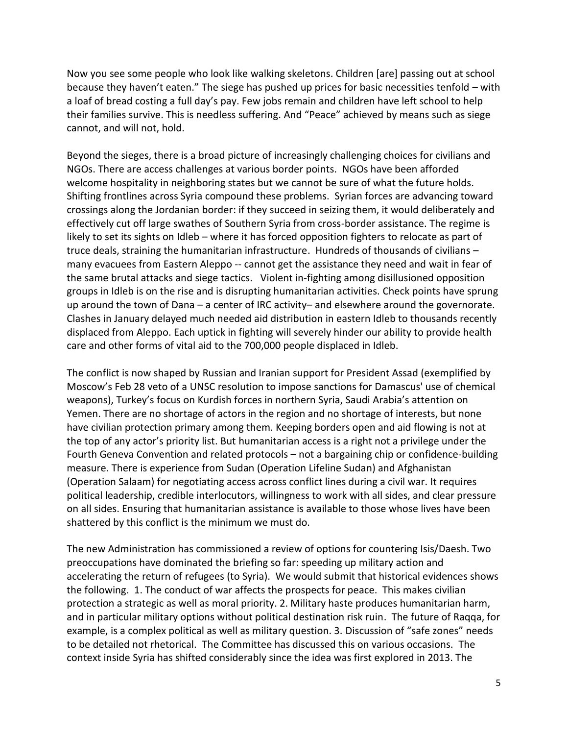Now you see some people who look like walking skeletons. Children [are] passing out at school because they haven't eaten." The siege has pushed up prices for basic necessities tenfold – with a loaf of bread costing a full day's pay. Few jobs remain and children have left school to help their families survive. This is needless suffering. And "Peace" achieved by means such as siege cannot, and will not, hold.

Beyond the sieges, there is a broad picture of increasingly challenging choices for civilians and NGOs. There are access challenges at various border points. NGOs have been afforded welcome hospitality in neighboring states but we cannot be sure of what the future holds. Shifting frontlines across Syria compound these problems. Syrian forces are advancing toward crossings along the Jordanian border: if they succeed in seizing them, it would deliberately and effectively cut off large swathes of Southern Syria from cross-border assistance. The regime is likely to set its sights on Idleb – where it has forced opposition fighters to relocate as part of truce deals, straining the humanitarian infrastructure. Hundreds of thousands of civilians – many evacuees from Eastern Aleppo -- cannot get the assistance they need and wait in fear of the same brutal attacks and siege tactics. Violent in-fighting among disillusioned opposition groups in Idleb is on the rise and is disrupting humanitarian activities. Check points have sprung up around the town of Dana – a center of IRC activity– and elsewhere around the governorate. Clashes in January delayed much needed aid distribution in eastern Idleb to thousands recently displaced from Aleppo. Each uptick in fighting will severely hinder our ability to provide health care and other forms of vital aid to the 700,000 people displaced in Idleb.

The conflict is now shaped by Russian and Iranian support for President Assad (exemplified by Moscow's Feb 28 veto of a UNSC resolution to impose sanctions for Damascus' use of chemical weapons), Turkey's focus on Kurdish forces in northern Syria, Saudi Arabia's attention on Yemen. There are no shortage of actors in the region and no shortage of interests, but none have civilian protection primary among them. Keeping borders open and aid flowing is not at the top of any actor's priority list. But humanitarian access is a right not a privilege under the Fourth Geneva Convention and related protocols – not a bargaining chip or confidence-building measure. There is experience from Sudan (Operation Lifeline Sudan) and Afghanistan (Operation Salaam) for negotiating access across conflict lines during a civil war. It requires political leadership, credible interlocutors, willingness to work with all sides, and clear pressure on all sides. Ensuring that humanitarian assistance is available to those whose lives have been shattered by this conflict is the minimum we must do.

The new Administration has commissioned a review of options for countering Isis/Daesh. Two preoccupations have dominated the briefing so far: speeding up military action and accelerating the return of refugees (to Syria). We would submit that historical evidences shows the following. 1. The conduct of war affects the prospects for peace. This makes civilian protection a strategic as well as moral priority. 2. Military haste produces humanitarian harm, and in particular military options without political destination risk ruin. The future of Raqqa, for example, is a complex political as well as military question. 3. Discussion of "safe zones" needs to be detailed not rhetorical. The Committee has discussed this on various occasions. The context inside Syria has shifted considerably since the idea was first explored in 2013. The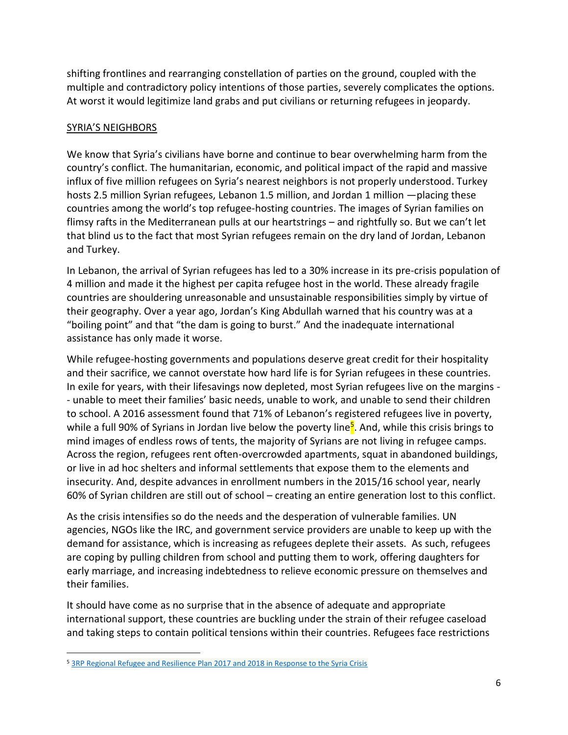shifting frontlines and rearranging constellation of parties on the ground, coupled with the multiple and contradictory policy intentions of those parties, severely complicates the options. At worst it would legitimize land grabs and put civilians or returning refugees in jeopardy.

## SYRIA'S NEIGHBORS

 $\overline{a}$ 

We know that Syria's civilians have borne and continue to bear overwhelming harm from the country's conflict. The humanitarian, economic, and political impact of the rapid and massive influx of five million refugees on Syria's nearest neighbors is not properly understood. Turkey hosts 2.5 million Syrian refugees, Lebanon 1.5 million, and Jordan 1 million —placing these countries among the world's top refugee-hosting countries. The images of Syrian families on flimsy rafts in the Mediterranean pulls at our heartstrings – and rightfully so. But we can't let that blind us to the fact that most Syrian refugees remain on the dry land of Jordan, Lebanon and Turkey.

In Lebanon, the arrival of Syrian refugees has led to a 30% increase in its pre-crisis population of 4 million and made it the highest per capita refugee host in the world. These already fragile countries are shouldering unreasonable and unsustainable responsibilities simply by virtue of their geography. Over a year ago, Jordan's King Abdullah warned that his country was at a "boiling point" and that "the dam is going to burst." And the inadequate international assistance has only made it worse.

While refugee-hosting governments and populations deserve great credit for their hospitality and their sacrifice, we cannot overstate how hard life is for Syrian refugees in these countries. In exile for years, with their lifesavings now depleted, most Syrian refugees live on the margins - - unable to meet their families' basic needs, unable to work, and unable to send their children to school. A 2016 assessment found that 71% of Lebanon's registered refugees live in poverty, while a full 90% of Syrians in Jordan live below the poverty line<sup>5</sup>. And, while this crisis brings to mind images of endless rows of tents, the majority of Syrians are not living in refugee camps. Across the region, refugees rent often-overcrowded apartments, squat in abandoned buildings, or live in ad hoc shelters and informal settlements that expose them to the elements and insecurity. And, despite advances in enrollment numbers in the 2015/16 school year, nearly 60% of Syrian children are still out of school – creating an entire generation lost to this conflict.

As the crisis intensifies so do the needs and the desperation of vulnerable families. UN agencies, NGOs like the IRC, and government service providers are unable to keep up with the demand for assistance, which is increasing as refugees deplete their assets. As such, refugees are coping by pulling children from school and putting them to work, offering daughters for early marriage, and increasing indebtedness to relieve economic pressure on themselves and their families.

It should have come as no surprise that in the absence of adequate and appropriate international support, these countries are buckling under the strain of their refugee caseload and taking steps to contain political tensions within their countries. Refugees face restrictions

<sup>&</sup>lt;sup>5</sup> 3RP [Regional Refugee and Resilience Plan 2017 and 2018 in Response to the Syria Crisis](http://www.3rpsyriacrisis.org/wp-content/uploads/2017/02/3RP-Regional-Strategic-Overview-2017-2018.pdf)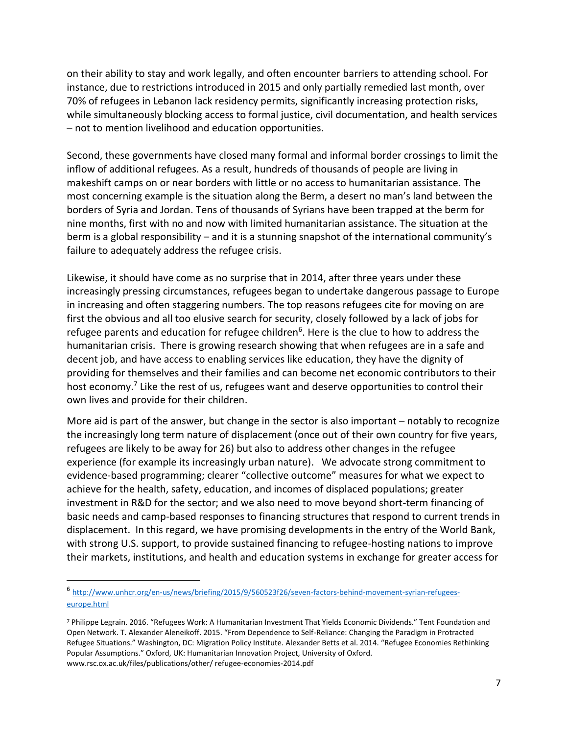on their ability to stay and work legally, and often encounter barriers to attending school. For instance, due to restrictions introduced in 2015 and only partially remedied last month, over 70% of refugees in Lebanon lack residency permits, significantly increasing protection risks, while simultaneously blocking access to formal justice, civil documentation, and health services – not to mention livelihood and education opportunities.

Second, these governments have closed many formal and informal border crossings to limit the inflow of additional refugees. As a result, hundreds of thousands of people are living in makeshift camps on or near borders with little or no access to humanitarian assistance. The most concerning example is the situation along the Berm, a desert no man's land between the borders of Syria and Jordan. Tens of thousands of Syrians have been trapped at the berm for nine months, first with no and now with limited humanitarian assistance. The situation at the berm is a global responsibility – and it is a stunning snapshot of the international community's failure to adequately address the refugee crisis.

Likewise, it should have come as no surprise that in 2014, after three years under these increasingly pressing circumstances, refugees began to undertake dangerous passage to Europe in increasing and often staggering numbers. The top reasons refugees cite for moving on are first the obvious and all too elusive search for security, closely followed by a lack of jobs for refugee parents and education for refugee children<sup>6</sup>. Here is the clue to how to address the humanitarian crisis. There is growing research showing that when refugees are in a safe and decent job, and have access to enabling services like education, they have the dignity of providing for themselves and their families and can become net economic contributors to their host economy.<sup>7</sup> Like the rest of us, refugees want and deserve opportunities to control their own lives and provide for their children.

More aid is part of the answer, but change in the sector is also important – notably to recognize the increasingly long term nature of displacement (once out of their own country for five years, refugees are likely to be away for 26) but also to address other changes in the refugee experience (for example its increasingly urban nature). We advocate strong commitment to evidence-based programming; clearer "collective outcome" measures for what we expect to achieve for the health, safety, education, and incomes of displaced populations; greater investment in R&D for the sector; and we also need to move beyond short-term financing of basic needs and camp-based responses to financing structures that respond to current trends in displacement. In this regard, we have promising developments in the entry of the World Bank, with strong U.S. support, to provide sustained financing to refugee-hosting nations to improve their markets, institutions, and health and education systems in exchange for greater access for

 $\overline{a}$ 

<sup>6</sup> [http://www.unhcr.org/en-us/news/briefing/2015/9/560523f26/seven-factors-behind-movement-syrian-refugees](http://www.unhcr.org/en-us/news/briefing/2015/9/560523f26/seven-factors-behind-movement-syrian-refugees-europe.html)[europe.html](http://www.unhcr.org/en-us/news/briefing/2015/9/560523f26/seven-factors-behind-movement-syrian-refugees-europe.html)

<sup>7</sup> Philippe Legrain. 2016. "Refugees Work: A Humanitarian Investment That Yields Economic Dividends." Tent Foundation and Open Network. T. Alexander Aleneikoff. 2015. "From Dependence to Self-Reliance: Changing the Paradigm in Protracted Refugee Situations." Washington, DC: Migration Policy Institute. Alexander Betts et al. 2014. "Refugee Economies Rethinking Popular Assumptions." Oxford, UK: Humanitarian Innovation Project, University of Oxford. www.rsc.ox.ac.uk/files/publications/other/ refugee-economies-2014.pdf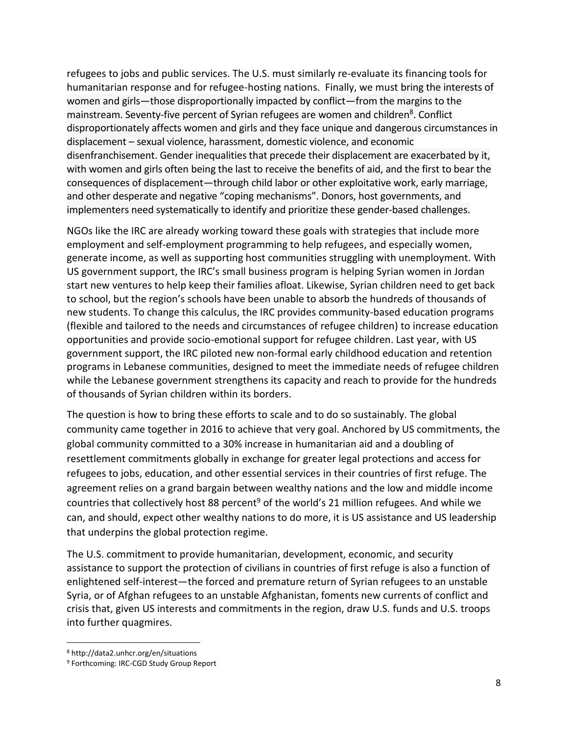refugees to jobs and public services. The U.S. must similarly re-evaluate its financing tools for humanitarian response and for refugee-hosting nations. Finally, we must bring the interests of women and girls—those disproportionally impacted by conflict—from the margins to the mainstream. Seventy-five percent of Syrian refugees are women and children<sup>8</sup>. Conflict disproportionately affects women and girls and they face unique and dangerous circumstances in displacement – sexual violence, harassment, domestic violence, and economic disenfranchisement. Gender inequalities that precede their displacement are exacerbated by it, with women and girls often being the last to receive the benefits of aid, and the first to bear the consequences of displacement—through child labor or other exploitative work, early marriage, and other desperate and negative "coping mechanisms". Donors, host governments, and implementers need systematically to identify and prioritize these gender-based challenges.

NGOs like the IRC are already working toward these goals with strategies that include more employment and self-employment programming to help refugees, and especially women, generate income, as well as supporting host communities struggling with unemployment. With US government support, the IRC's small business program is helping Syrian women in Jordan start new ventures to help keep their families afloat. Likewise, Syrian children need to get back to school, but the region's schools have been unable to absorb the hundreds of thousands of new students. To change this calculus, the IRC provides community-based education programs (flexible and tailored to the needs and circumstances of refugee children) to increase education opportunities and provide socio-emotional support for refugee children. Last year, with US government support, the IRC piloted new non-formal early childhood education and retention programs in Lebanese communities, designed to meet the immediate needs of refugee children while the Lebanese government strengthens its capacity and reach to provide for the hundreds of thousands of Syrian children within its borders.

The question is how to bring these efforts to scale and to do so sustainably. The global community came together in 2016 to achieve that very goal. Anchored by US commitments, the global community committed to a 30% increase in humanitarian aid and a doubling of resettlement commitments globally in exchange for greater legal protections and access for refugees to jobs, education, and other essential services in their countries of first refuge. The agreement relies on a grand bargain between wealthy nations and the low and middle income countries that collectively host 88 percent<sup>9</sup> of the world's 21 million refugees. And while we can, and should, expect other wealthy nations to do more, it is US assistance and US leadership that underpins the global protection regime.

The U.S. commitment to provide humanitarian, development, economic, and security assistance to support the protection of civilians in countries of first refuge is also a function of enlightened self-interest—the forced and premature return of Syrian refugees to an unstable Syria, or of Afghan refugees to an unstable Afghanistan, foments new currents of conflict and crisis that, given US interests and commitments in the region, draw U.S. funds and U.S. troops into further quagmires.

 $\overline{\phantom{a}}$ 

<sup>8</sup> http://data2.unhcr.org/en/situations

<sup>9</sup> Forthcoming: IRC-CGD Study Group Report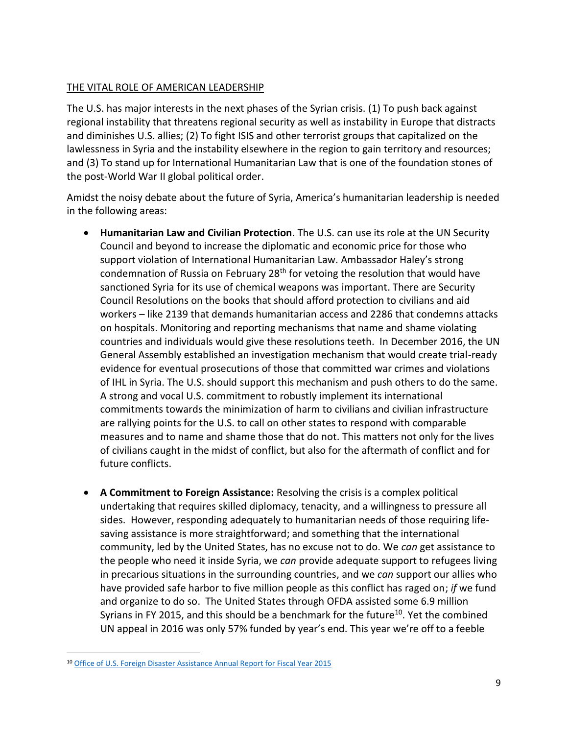## THE VITAL ROLE OF AMERICAN LEADERSHIP

The U.S. has major interests in the next phases of the Syrian crisis. (1) To push back against regional instability that threatens regional security as well as instability in Europe that distracts and diminishes U.S. allies; (2) To fight ISIS and other terrorist groups that capitalized on the lawlessness in Syria and the instability elsewhere in the region to gain territory and resources; and (3) To stand up for International Humanitarian Law that is one of the foundation stones of the post-World War II global political order.

Amidst the noisy debate about the future of Syria, America's humanitarian leadership is needed in the following areas:

- **Humanitarian Law and Civilian Protection**. The U.S. can use its role at the UN Security Council and beyond to increase the diplomatic and economic price for those who support violation of International Humanitarian Law. Ambassador Haley's strong condemnation of Russia on February  $28<sup>th</sup>$  for vetoing the resolution that would have sanctioned Syria for its use of chemical weapons was important. There are Security Council Resolutions on the books that should afford protection to civilians and aid workers – like 2139 that demands humanitarian access and 2286 that condemns attacks on hospitals. Monitoring and reporting mechanisms that name and shame violating countries and individuals would give these resolutions teeth. In December 2016, the UN General Assembly established an investigation mechanism that would create trial-ready evidence for eventual prosecutions of those that committed war crimes and violations of IHL in Syria. The U.S. should support this mechanism and push others to do the same. A strong and vocal U.S. commitment to robustly implement its international commitments towards the minimization of harm to civilians and civilian infrastructure are rallying points for the U.S. to call on other states to respond with comparable measures and to name and shame those that do not. This matters not only for the lives of civilians caught in the midst of conflict, but also for the aftermath of conflict and for future conflicts.
- **A Commitment to Foreign Assistance:** Resolving the crisis is a complex political undertaking that requires skilled diplomacy, tenacity, and a willingness to pressure all sides. However, responding adequately to humanitarian needs of those requiring lifesaving assistance is more straightforward; and something that the international community, led by the United States, has no excuse not to do. We *can* get assistance to the people who need it inside Syria, we *can* provide adequate support to refugees living in precarious situations in the surrounding countries, and we *can* support our allies who have provided safe harbor to five million people as this conflict has raged on; *if* we fund and organize to do so. The United States through OFDA assisted some 6.9 million Syrians in FY 2015, and this should be a benchmark for the future<sup>10</sup>. Yet the combined UN appeal in 2016 was only 57% funded by year's end. This year we're off to a feeble

 $\overline{a}$ <sup>10</sup> [Office of U.S. Foreign Disaster Assistance Annual Report for Fiscal Year 2015](http://pdf.usaid.gov/pdf_docs/PBAAE802.pdf)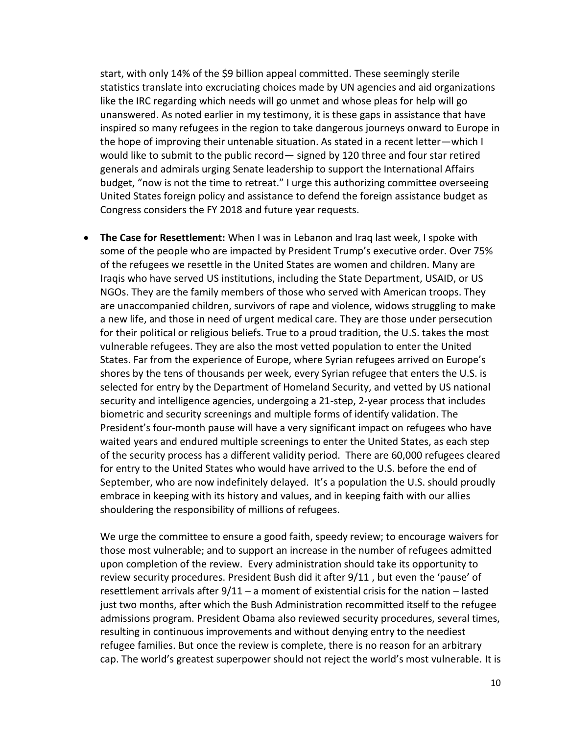start, with only 14% of the \$9 billion appeal committed. These seemingly sterile statistics translate into excruciating choices made by UN agencies and aid organizations like the IRC regarding which needs will go unmet and whose pleas for help will go unanswered. As noted earlier in my testimony, it is these gaps in assistance that have inspired so many refugees in the region to take dangerous journeys onward to Europe in the hope of improving their untenable situation. As stated in a recent letter—which I would like to submit to the public record— signed by 120 three and four star retired generals and admirals urging Senate leadership to support the International Affairs budget, "now is not the time to retreat." I urge this authorizing committee overseeing United States foreign policy and assistance to defend the foreign assistance budget as Congress considers the FY 2018 and future year requests.

 **The Case for Resettlement:** When I was in Lebanon and Iraq last week, I spoke with some of the people who are impacted by President Trump's executive order. Over 75% of the refugees we resettle in the United States are women and children. Many are Iraqis who have served US institutions, including the State Department, USAID, or US NGOs. They are the family members of those who served with American troops. They are unaccompanied children, survivors of rape and violence, widows struggling to make a new life, and those in need of urgent medical care. They are those under persecution for their political or religious beliefs. True to a proud tradition, the U.S. takes the most vulnerable refugees. They are also the most vetted population to enter the United States. Far from the experience of Europe, where Syrian refugees arrived on Europe's shores by the tens of thousands per week, every Syrian refugee that enters the U.S. is selected for entry by the Department of Homeland Security, and vetted by US national security and intelligence agencies, undergoing a 21-step, 2-year process that includes biometric and security screenings and multiple forms of identify validation. The President's four-month pause will have a very significant impact on refugees who have waited years and endured multiple screenings to enter the United States, as each step of the security process has a different validity period. There are 60,000 refugees cleared for entry to the United States who would have arrived to the U.S. before the end of September, who are now indefinitely delayed. It's a population the U.S. should proudly embrace in keeping with its history and values, and in keeping faith with our allies shouldering the responsibility of millions of refugees.

We urge the committee to ensure a good faith, speedy review; to encourage waivers for those most vulnerable; and to support an increase in the number of refugees admitted upon completion of the review. Every administration should take its opportunity to review security procedures. President Bush did it after 9/11 , but even the 'pause' of resettlement arrivals after  $9/11 - a$  moment of existential crisis for the nation  $-$  lasted just two months, after which the Bush Administration recommitted itself to the refugee admissions program. President Obama also reviewed security procedures, several times, resulting in continuous improvements and without denying entry to the neediest refugee families. But once the review is complete, there is no reason for an arbitrary cap. The world's greatest superpower should not reject the world's most vulnerable. It is